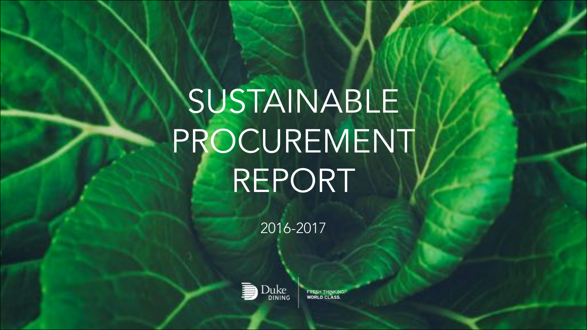SUSTAINABLE PROCUREMENT REPORT

2016-2017



**FRESH THINKING WORLD CLASS.**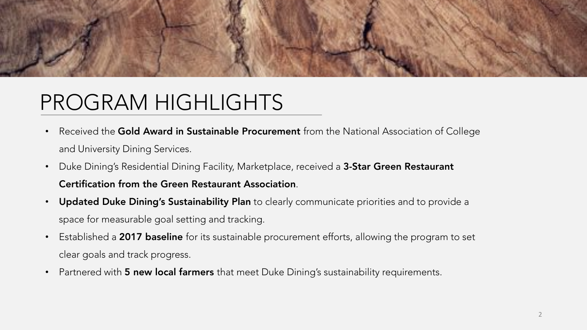

## PROGRAM HIGHLIGHTS

- Received the Gold Award in Sustainable Procurement from the National Association of College and University Dining Services.
- Duke Dining's Residential Dining Facility, Marketplace, received a 3-Star Green Restaurant Certification from the Green Restaurant Association.
- Updated Duke Dining's Sustainability Plan to clearly communicate priorities and to provide a space for measurable goal setting and tracking.
- Established a 2017 baseline for its sustainable procurement efforts, allowing the program to set clear goals and track progress.
- Partnered with **5 new local farmers** that meet Duke Dining's sustainability requirements.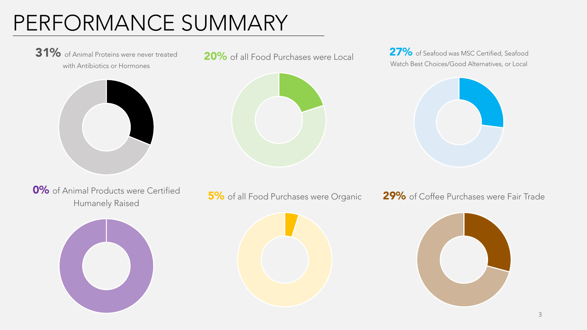## PERFORMANCE SUMMARY

31% of Animal Proteins were never treated with Antibiotics or Hormones





20% of all Food Purchases were Local 27% of Seafood was MSC Certified, Seafood Watch Best Choices/Good Alternatives, or Local



**0%** of Animal Products were Certified





Human Froducts were Certified **5%** of all Food Purchases were Organic **29%** of Coffee Purchases were Fair Trade Humanely Raised

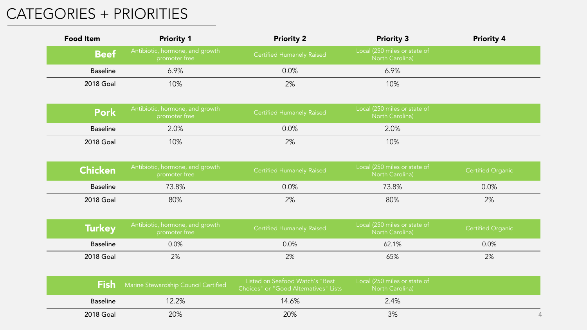### CATEGORIES + PRIORITIES

| <b>Food Item</b> | <b>Priority 1</b>                                | <b>Priority 2</b>                                                        | <b>Priority 3</b>                               | <b>Priority 4</b> |
|------------------|--------------------------------------------------|--------------------------------------------------------------------------|-------------------------------------------------|-------------------|
| <b>Beef</b>      | Antibiotic, hormone, and growth<br>promoter free | <b>Certified Humanely Raised</b>                                         | Local (250 miles or state of<br>North Carolina) |                   |
| <b>Baseline</b>  | 6.9%                                             | 0.0%                                                                     | 6.9%                                            |                   |
| <b>2018 Goal</b> | 10%                                              | 2%                                                                       | 10%                                             |                   |
| <b>Pork</b>      | Antibiotic, hormone, and growth<br>promoter free | <b>Certified Humanely Raised</b>                                         | Local (250 miles or state of<br>North Carolina) |                   |
| <b>Baseline</b>  | 2.0%                                             | 0.0%                                                                     | 2.0%                                            |                   |
| <b>2018 Goal</b> | 10%                                              | 2%                                                                       | 10%                                             |                   |
| <b>Chicken</b>   | Antibiotic, hormone, and growth<br>promoter free | <b>Certified Humanely Raised</b>                                         | Local (250 miles or state of<br>North Carolina) | Certified Organic |
| <b>Baseline</b>  | 73.8%                                            | 0.0%                                                                     | 73.8%                                           | 0.0%              |
| <b>2018 Goal</b> | 80%                                              | 2%                                                                       | 80%                                             | 2%                |
| <b>Turkey</b>    | Antibiotic, hormone, and growth<br>promoter free | <b>Certified Humanely Raised</b>                                         | Local (250 miles or state of<br>North Carolina) | Certified Organic |
| <b>Baseline</b>  | 0.0%                                             | 0.0%                                                                     | 62.1%                                           | 0.0%              |
| <b>2018 Goal</b> | 2%                                               | 2%                                                                       | 65%                                             | 2%                |
| <b>Fish</b>      | Marine Stewardship Council Certified             | Listed on Seafood Watch's "Best<br>Choices" or "Good Alternatives" Lists | Local (250 miles or state of<br>North Carolina) |                   |
| <b>Baseline</b>  | 12.2%                                            | 14.6%                                                                    | 2.4%                                            |                   |
| <b>2018 Goal</b> | 20%                                              | 20%                                                                      | 3%                                              | 4                 |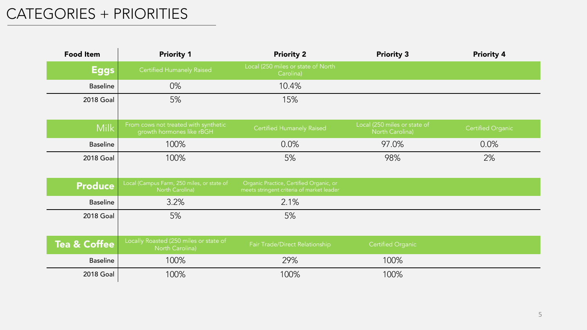### CATEGORIES + PRIORITIES

| <b>Food Item</b>        | <b>Priority 1</b>                                                 | <b>Priority 2</b>                                                                    | <b>Priority 3</b>                               | <b>Priority 4</b> |
|-------------------------|-------------------------------------------------------------------|--------------------------------------------------------------------------------------|-------------------------------------------------|-------------------|
| <b>Eggs</b>             | <b>Certified Humanely Raised</b>                                  | Local (250 miles or state of North<br>Carolina)                                      |                                                 |                   |
| <b>Baseline</b>         | 0%                                                                | 10.4%                                                                                |                                                 |                   |
| 2018 Goal               | 5%                                                                | 15%                                                                                  |                                                 |                   |
| <b>Milk</b>             | From cows not treated with synthetic<br>growth hormones like rBGH | Certified Humanely Raised                                                            | Local (250 miles or state of<br>North Carolina) | Certified Organic |
| <b>Baseline</b>         | 100%                                                              | 0.0%                                                                                 | 97.0%                                           | 0.0%              |
| <b>2018 Goal</b>        | 100%                                                              | 5%                                                                                   | 98%                                             | 2%                |
|                         |                                                                   |                                                                                      |                                                 |                   |
| <b>Produce</b>          | Local (Campus Farm, 250 miles, or state of<br>North Carolina)     | Organic Practice, Certified Organic, or<br>meets stringent criteria of market leader |                                                 |                   |
| <b>Baseline</b>         | 3.2%                                                              | 2.1%                                                                                 |                                                 |                   |
| <b>2018 Goal</b>        | 5%                                                                | 5%                                                                                   |                                                 |                   |
|                         |                                                                   |                                                                                      |                                                 |                   |
| <b>Tea &amp; Coffee</b> | Locally Roasted (250 miles or state of<br>North Carolina)         | Fair Trade/Direct Relationship                                                       | <b>Certified Organic</b>                        |                   |
| <b>Baseline</b>         | 100%                                                              | 29%                                                                                  | 100%                                            |                   |
| <b>2018 Goal</b>        | 100%                                                              | 100%                                                                                 | 100%                                            |                   |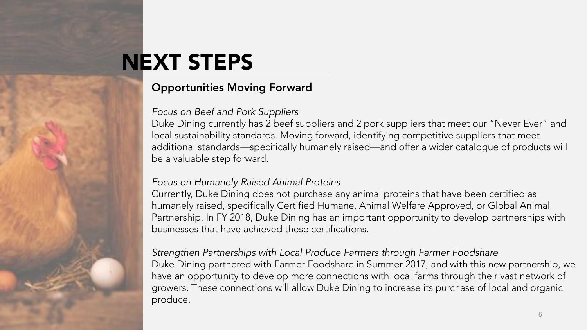# NEXT STEPS

#### Opportunities Moving Forward

#### *Focus on Beef and Pork Suppliers*

Duke Dining currently has 2 beef suppliers and 2 pork suppliers that meet our "Never Ever" and local sustainability standards. Moving forward, identifying competitive suppliers that meet additional standards—specifically humanely raised—and offer a wider catalogue of products will be a valuable step forward.

#### *Focus on Humanely Raised Animal Proteins*

Currently, Duke Dining does not purchase any animal proteins that have been certified as humanely raised, specifically Certified Humane, Animal Welfare Approved, or Global Animal Partnership. In FY 2018, Duke Dining has an important opportunity to develop partnerships with businesses that have achieved these certifications.

*Strengthen Partnerships with Local Produce Farmers through Farmer Foodshare* Duke Dining partnered with Farmer Foodshare in Summer 2017, and with this new partnership, we have an opportunity to develop more connections with local farms through their vast network of growers. These connections will allow Duke Dining to increase its purchase of local and organic produce.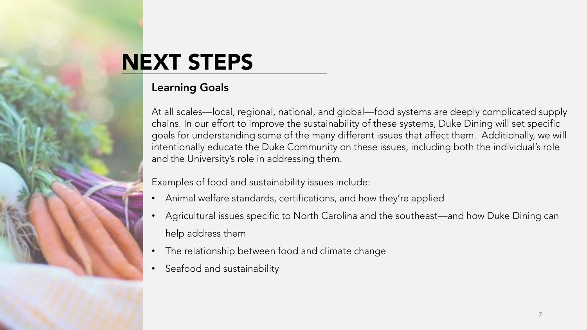# NEXT STEPS

#### Learning Goals

At all scales—local, regional, national, and global—food systems are deeply complicated supply chains. In our effort to improve the sustainability of these systems, Duke Dining will set specific goals for understanding some of the many different issues that affect them. Additionally, we will intentionally educate the Duke Community on these issues, including both the individual's role and the University's role in addressing them.

Examples of food and sustainability issues include:

- Animal welfare standards, certifications, and how they're applied
- Agricultural issues specific to North Carolina and the southeast—and how Duke Dining can help address them
- The relationship between food and climate change
- Seafood and sustainability